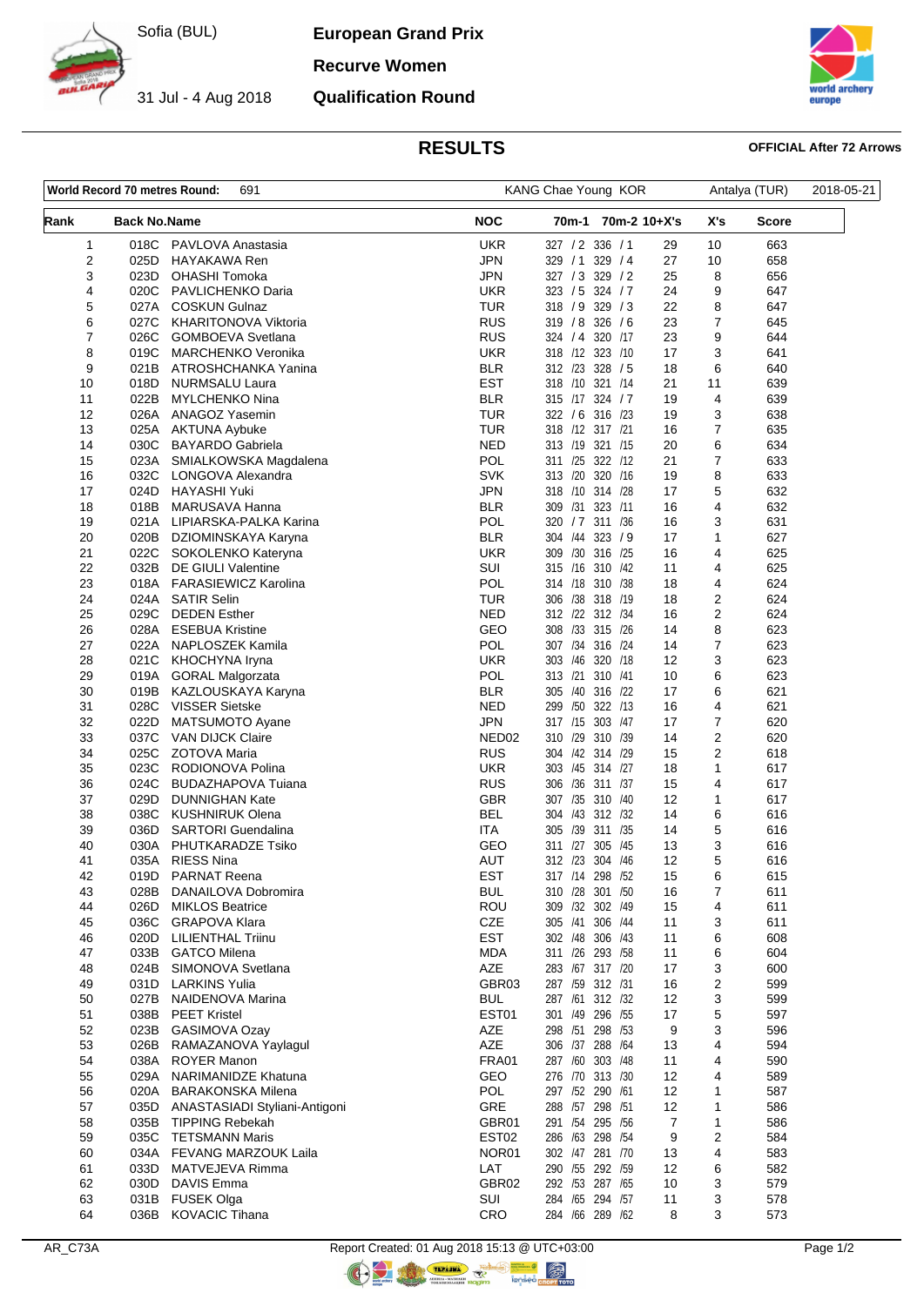

31 Jul - 4 Aug 2018

**European Grand Prix**

**Recurve Women**

## **Qualification Round**



# **RESULTS OFFICIAL After 72 Arrows**

| 691<br>World Record 70 metres Round: |                     |                                                  | KANG Chae Young KOR             |                                    |         |              |                | 2018-05-21 |  |
|--------------------------------------|---------------------|--------------------------------------------------|---------------------------------|------------------------------------|---------|--------------|----------------|------------|--|
| Rank                                 | <b>Back No.Name</b> |                                                  | <b>NOC</b>                      | 70m-1                              |         | 70m-2 10+X's | X's            | Score      |  |
| 1                                    | 018C                | PAVLOVA Anastasia                                | <b>UKR</b>                      | 327 / 2 336 / 1                    |         | 29           | 10             | 663        |  |
| 2                                    | 025D                | <b>HAYAKAWA Ren</b>                              | <b>JPN</b>                      | 329 / 1 329 / 4                    |         | 27           | 10             | 658        |  |
| 3                                    | 023D                | <b>OHASHI Tomoka</b>                             | <b>JPN</b>                      | 327 / 3 329 / 2                    |         | 25           | 8              | 656        |  |
| 4                                    | 020C                | PAVLICHENKO Daria                                | UKR                             | 323 / 5 324 / 7                    |         | 24           | 9              | 647        |  |
| 5                                    | 027A                | <b>COSKUN Gulnaz</b>                             | <b>TUR</b><br><b>RUS</b>        | 318 / 9 329 / 3                    |         | 22<br>23     | 8              | 647        |  |
| 6<br>7                               | 027C<br>026C        | KHARITONOVA Viktoria<br><b>GOMBOEVA Svetlana</b> | <b>RUS</b>                      | 319 / 8 326 / 6<br>324 / 4         | 320 /17 | 23           | 7<br>9         | 645<br>644 |  |
| 8                                    | 019C                | <b>MARCHENKO Veronika</b>                        | <b>UKR</b>                      | 318 /12 323 /10                    |         | 17           | 3              | 641        |  |
| 9                                    | 021B                | ATROSHCHANKA Yanina                              | <b>BLR</b>                      | 312 /23 328 / 5                    |         | 18           | 6              | 640        |  |
| 10                                   | 018D                | NURMSALU Laura                                   | <b>EST</b>                      | 318 /10 321 /14                    |         | 21           | 11             | 639        |  |
| 11                                   | 022B                | MYLCHENKO Nina                                   | <b>BLR</b>                      | 315 /17 324 / 7                    |         | 19           | 4              | 639        |  |
| 12                                   | 026A                | ANAGOZ Yasemin                                   | <b>TUR</b>                      | 322 / 6 316 /23                    |         | 19           | 3              | 638        |  |
| 13                                   | 025A                | AKTUNA Aybuke                                    | <b>TUR</b>                      | 318 /12 317 /21                    |         | 16           | 7              | 635        |  |
| 14                                   | 030C                | <b>BAYARDO Gabriela</b>                          | NED                             | 313 /19 321 /15                    |         | 20           | 6              | 634        |  |
| 15                                   | 023A                | SMIALKOWSKA Magdalena                            | <b>POL</b>                      | 311 /25 322 /12                    |         | 21           | $\overline{7}$ | 633        |  |
| 16                                   | 032C                | LONGOVA Alexandra                                | <b>SVK</b>                      | 313 /20 320 /16                    |         | 19           | 8              | 633        |  |
| 17                                   | 024D                | HAYASHI Yuki                                     | JPN                             | 318 /10 314 /28                    |         | 17           | 5              | 632        |  |
| 18                                   | 018B                | MARUSAVA Hanna                                   | <b>BLR</b>                      | 309 /31 323 /11                    |         | 16           | 4              | 632        |  |
| 19<br>20                             | 021A<br>020B        | LIPIARSKA-PALKA Karina<br>DZIOMINSKAYA Karyna    | POL<br><b>BLR</b>               | 320 / 7 311 /36<br>304 /44 323 / 9 |         | 16<br>17     | 3<br>1         | 631<br>627 |  |
| 21                                   | 022C                | SOKOLENKO Kateryna                               | <b>UKR</b>                      | 309 /30 316 /25                    |         | 16           | 4              | 625        |  |
| 22                                   | 032B                | <b>DE GIULI Valentine</b>                        | SUI                             | 315 /16 310 /42                    |         | 11           | 4              | 625        |  |
| 23                                   | 018A                | <b>FARASIEWICZ Karolina</b>                      | POL                             | 314 /18 310 /38                    |         | 18           | 4              | 624        |  |
| 24                                   | 024A                | <b>SATIR Selin</b>                               | TUR                             | 306 /38 318 /19                    |         | 18           | $\mathbf 2$    | 624        |  |
| 25                                   | 029C                | <b>DEDEN Esther</b>                              | NED                             | 312 /22 312 /34                    |         | 16           | 2              | 624        |  |
| 26                                   | 028A                | <b>ESEBUA Kristine</b>                           | GEO                             | 308 /33 315 /26                    |         | 14           | 8              | 623        |  |
| 27                                   | 022A                | NAPLOSZEK Kamila                                 | <b>POL</b>                      | 307 /34 316 /24                    |         | 14           | $\overline{7}$ | 623        |  |
| 28                                   | 021C                | KHOCHYNA Iryna                                   | <b>UKR</b>                      | 303 /46 320 /18                    |         | 12           | 3              | 623        |  |
| 29                                   | 019A                | <b>GORAL Malgorzata</b>                          | POL                             | 313 /21 310 /41                    |         | 10           | 6              | 623        |  |
| 30                                   | 019B                | KAZLOUSKAYA Karyna                               | <b>BLR</b>                      | 305 /40 316 /22                    |         | 17           | 6              | 621        |  |
| 31                                   | 028C                | <b>VISSER Sietske</b>                            | <b>NED</b>                      | 299 /50 322 /13                    |         | 16           | 4              | 621        |  |
| 32                                   | 022D                | MATSUMOTO Ayane                                  | <b>JPN</b>                      | 317 /15 303 /47<br>310 /29 310 /39 |         | 17           | 7              | 620        |  |
| 33<br>34                             | 037C<br>025C        | VAN DIJCK Claire<br>ZOTOVA Maria                 | NED <sub>02</sub><br><b>RUS</b> | 304 /42 314 /29                    |         | 14<br>15     | 2<br>2         | 620<br>618 |  |
| 35                                   | 023C                | RODIONOVA Polina                                 | <b>UKR</b>                      | 303 /45 314 /27                    |         | 18           | 1              | 617        |  |
| 36                                   | 024C                | BUDAZHAPOVA Tuiana                               | RUS                             | 306 /36 311 /37                    |         | 15           | 4              | 617        |  |
| 37                                   | 029D                | <b>DUNNIGHAN Kate</b>                            | <b>GBR</b>                      | 307 /35 310 /40                    |         | 12           | 1              | 617        |  |
| 38                                   | 038C                | <b>KUSHNIRUK Olena</b>                           | BEL                             | 304 /43 312 /32                    |         | 14           | 6              | 616        |  |
| 39                                   | 036D                | <b>SARTORI</b> Guendalina                        | <b>ITA</b>                      | 305 /39 311 /35                    |         | 14           | 5              | 616        |  |
| 40                                   | 030A                | PHUTKARADZE Tsiko                                | GEO                             | 311 /27 305 /45                    |         | 13           | 3              | 616        |  |
| 41                                   | 035A                | <b>RIESS Nina</b>                                | AUT                             | 312 /23 304 /46                    |         | 12           | 5              | 616        |  |
| 42                                   | 019D                | <b>PARNAT Reena</b>                              | <b>EST</b>                      | 317 /14 298 /52                    |         | 15           | 6              | 615        |  |
| 43                                   | 028B                | DANAILOVA Dobromira                              | <b>BUL</b>                      | 310 /28 301 /50                    |         | 16           | 7              | 611        |  |
| 44                                   | 026D                | <b>MIKLOS Beatrice</b>                           | ROU                             | 309 /32 302 /49                    |         | 15           | 4              | 611        |  |
| 45                                   | 036C                | <b>GRAPOVA Klara</b>                             | <b>CZE</b>                      | 305 /41                            | 306 /44 | 11           | 3              | 611        |  |
| 46                                   | 020D                | LILIENTHAL Triinu                                | <b>EST</b>                      | 302 /48 306 /43                    |         | 11           | 6              | 608        |  |
| 47<br>48                             | 033B<br>024B        | <b>GATCO Milena</b><br>SIMONOVA Svetlana         | <b>MDA</b><br><b>AZE</b>        | 311 /26 293 /58<br>283 /67 317 /20 |         | 11<br>17     | 6<br>3         | 604<br>600 |  |
| 49                                   | 031D                | <b>LARKINS Yulia</b>                             | GBR03                           | 287 /59 312 /31                    |         | 16           | 2              | 599        |  |
| 50                                   | 027B                | NAIDENOVA Marina                                 | <b>BUL</b>                      | 287 /61 312 /32                    |         | 12           | 3              | 599        |  |
| 51                                   | 038B                | <b>PEET Kristel</b>                              | EST01                           | 301 /49 296 /55                    |         | 17           | 5              | 597        |  |
| 52                                   | 023B                | GASIMOVA Ozay                                    | AZE                             | 298 /51 298 /53                    |         | 9            | 3              | 596        |  |
| 53                                   | 026B                | RAMAZANOVA Yaylagul                              | AZE                             | 306 /37 288 /64                    |         | 13           | 4              | 594        |  |
| 54                                   | 038A                | <b>ROYER Manon</b>                               | <b>FRA01</b>                    | 287 /60 303 /48                    |         | 11           | 4              | 590        |  |
| 55                                   | 029A                | NARIMANIDZE Khatuna                              | GEO                             | 276 /70 313 /30                    |         | 12           | 4              | 589        |  |
| 56                                   | 020A                | <b>BARAKONSKA Milena</b>                         | <b>POL</b>                      | 297 /52 290 /61                    |         | 12           | 1              | 587        |  |
| 57                                   | 035D                | ANASTASIADI Styliani-Antigoni                    | GRE                             | 288 /57 298 /51                    |         | 12           | 1              | 586        |  |
| 58                                   | 035B                | <b>TIPPING Rebekah</b>                           | GBR01                           | 291 /54 295 /56                    |         | 7            | 1              | 586        |  |
| 59                                   | 035C                | TETSMANN Maris                                   | EST <sub>02</sub>               | 286 /63 298 /54                    |         | 9            | 2              | 584        |  |
| 60                                   | 034A                | FEVANG MARZOUK Laila                             | NOR01                           | 302 /47 281 /70                    |         | 13           | 4              | 583        |  |
| 61                                   | 033D                | MATVEJEVA Rimma                                  | LAT                             | 290 /55 292 /59                    |         | 12           | 6              | 582        |  |
| 62<br>63                             | 030D<br>031B        | DAVIS Emma<br><b>FUSEK Olga</b>                  | GBR02<br>SUI                    | 292 /53 287 /65<br>284 /65 294 /57 |         | 10<br>11     | 3<br>3         | 579<br>578 |  |
| 64                                   | 036B                | <b>KOVACIC Tihana</b>                            | CRO                             | 284 /66 289 /62                    |         | 8            | 3              | 573        |  |
|                                      |                     |                                                  |                                 |                                    |         |              |                |            |  |

 $\circledR$  nopy to to

 $\bigcirc$